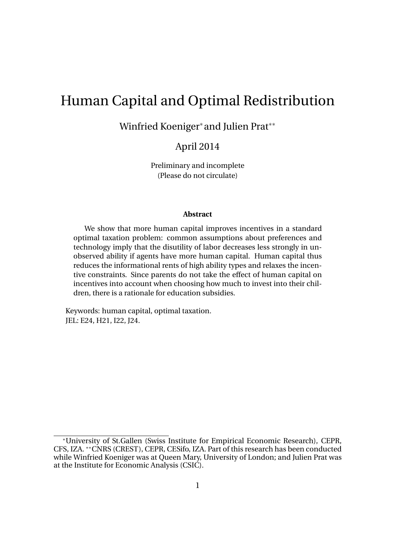# Human Capital and Optimal Redistribution

Winfried Koeniger\* and Julien Prat\*\*

### April 2014

Preliminary and incomplete (Please do not circulate)

#### **Abstract**

We show that more human capital improves incentives in a standard optimal taxation problem: common assumptions about preferences and technology imply that the disutility of labor decreases less strongly in unobserved ability if agents have more human capital. Human capital thus reduces the informational rents of high ability types and relaxes the incentive constraints. Since parents do not take the effect of human capital on incentives into account when choosing how much to invest into their children, there is a rationale for education subsidies.

Keywords: human capital, optimal taxation. JEL: E24, H21, I22, J24.

University of St.Gallen (Swiss Institute for Empirical Economic Research), CEPR, CFS, IZA. \*\*CNRS (CREST), CEPR, CESifo, IZA. Part of this research has been conducted while Winfried Koeniger was at Queen Mary, University of London; and Julien Prat was at the Institute for Economic Analysis (CSIC).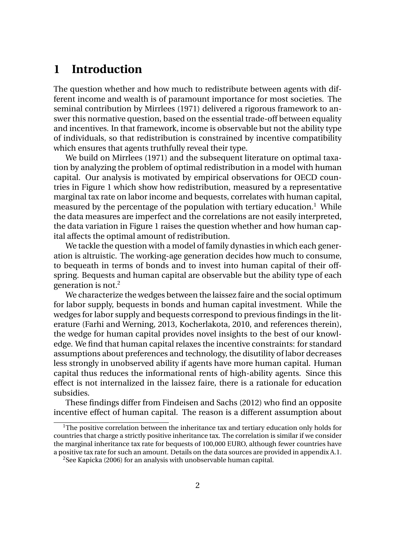## **1 Introduction**

The question whether and how much to redistribute between agents with different income and wealth is of paramount importance for most societies. The seminal contribution by Mirrlees (1971) delivered a rigorous framework to answer this normative question, based on the essential trade-off between equality and incentives. In that framework, income is observable but not the ability type of individuals, so that redistribution is constrained by incentive compatibility which ensures that agents truthfully reveal their type.

We build on Mirrlees (1971) and the subsequent literature on optimal taxation by analyzing the problem of optimal redistribution in a model with human capital. Our analysis is motivated by empirical observations for OECD countries in Figure 1 which show how redistribution, measured by a representative marginal tax rate on labor income and bequests, correlates with human capital, measured by the percentage of the population with tertiary education.<sup>1</sup> While the data measures are imperfect and the correlations are not easily interpreted, the data variation in Figure 1 raises the question whether and how human capital affects the optimal amount of redistribution.

We tackle the question with a model of family dynasties in which each generation is altruistic. The working-age generation decides how much to consume, to bequeath in terms of bonds and to invest into human capital of their offspring. Bequests and human capital are observable but the ability type of each generation is not.<sup>2</sup>

We characterize the wedges between the laissez faire and the social optimum for labor supply, bequests in bonds and human capital investment. While the wedges for labor supply and bequests correspond to previous findings in the literature (Farhi and Werning, 2013, Kocherlakota, 2010, and references therein), the wedge for human capital provides novel insights to the best of our knowledge. We find that human capital relaxes the incentive constraints: for standard assumptions about preferences and technology, the disutility of labor decreases less strongly in unobserved ability if agents have more human capital. Human capital thus reduces the informational rents of high-ability agents. Since this effect is not internalized in the laissez faire, there is a rationale for education subsidies.

These findings differ from Findeisen and Sachs (2012) who find an opposite incentive effect of human capital. The reason is a different assumption about

<sup>&</sup>lt;sup>1</sup>The positive correlation between the inheritance tax and tertiary education only holds for countries that charge a strictly positive inheritance tax. The correlation is similar if we consider the marginal inheritance tax rate for bequests of 100,000 EURO, although fewer countries have a positive tax rate for such an amount. Details on the data sources are provided in appendix A.1.

<sup>&</sup>lt;sup>2</sup>See Kapicka (2006) for an analysis with unobservable human capital.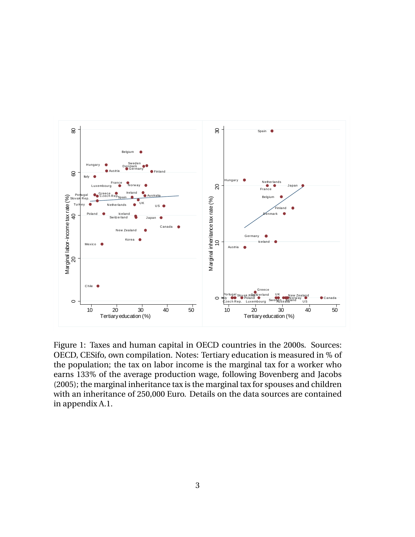

Figure 1: Taxes and human capital in OECD countries in the 2000s. Sources: OECD, CESifo, own compilation. Notes: Tertiary education is measured in % of the population; the tax on labor income is the marginal tax for a worker who earns 133% of the average production wage, following Bovenberg and Jacobs (2005); the marginal inheritance tax is the marginal tax for spouses and children with an inheritance of 250,000 Euro. Details on the data sources are contained in appendix A.1.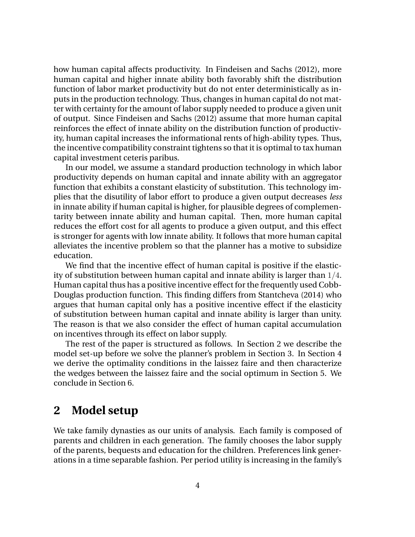how human capital affects productivity. In Findeisen and Sachs (2012), more human capital and higher innate ability both favorably shift the distribution function of labor market productivity but do not enter deterministically as inputs in the production technology. Thus, changes in human capital do not matter with certainty for the amount of labor supply needed to produce a given unit of output. Since Findeisen and Sachs (2012) assume that more human capital reinforces the effect of innate ability on the distribution function of productivity, human capital increases the informational rents of high-ability types. Thus, the incentive compatibility constraint tightens so that it is optimal to tax human capital investment ceteris paribus.

In our model, we assume a standard production technology in which labor productivity depends on human capital and innate ability with an aggregator function that exhibits a constant elasticity of substitution. This technology implies that the disutility of labor effort to produce a given output decreases *less* in innate ability if human capital is higher, for plausible degrees of complementarity between innate ability and human capital. Then, more human capital reduces the effort cost for all agents to produce a given output, and this effect is stronger for agents with low innate ability. It follows that more human capital alleviates the incentive problem so that the planner has a motive to subsidize education.

We find that the incentive effect of human capital is positive if the elasticity of substitution between human capital and innate ability is larger than  $1/4$ . Human capital thus has a positive incentive effect for the frequently used Cobb-Douglas production function. This finding differs from Stantcheva (2014) who argues that human capital only has a positive incentive effect if the elasticity of substitution between human capital and innate ability is larger than unity. The reason is that we also consider the effect of human capital accumulation on incentives through its effect on labor supply.

The rest of the paper is structured as follows. In Section 2 we describe the model set-up before we solve the planner's problem in Section 3. In Section 4 we derive the optimality conditions in the laissez faire and then characterize the wedges between the laissez faire and the social optimum in Section 5. We conclude in Section 6.

## **2 Model setup**

We take family dynasties as our units of analysis. Each family is composed of parents and children in each generation. The family chooses the labor supply of the parents, bequests and education for the children. Preferences link generations in a time separable fashion. Per period utility is increasing in the family's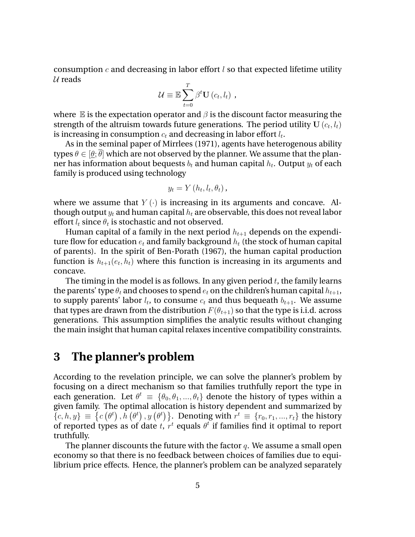consumption c and decreasing in labor effort l so that expected lifetime utility  $U$  reads

$$
\mathcal{U} \equiv \mathbb{E} \sum_{t=0}^{T} \beta^t \mathbf{U}(c_t, l_t) ,
$$

where  $\mathbb E$  is the expectation operator and  $\beta$  is the discount factor measuring the strength of the altruism towards future generations. The period utility U  $(c_t, l_t)$ is increasing in consumption  $c_t$  and decreasing in labor effort  $l_t.$ 

As in the seminal paper of Mirrlees (1971), agents have heterogenous ability types  $\theta \in [\theta; \theta]$  which are not observed by the planner. We assume that the planner has information about bequests  $b_t$  and human capital  $h_t.$  Output  $y_t$  of each family is produced using technology

$$
y_t = Y(h_t, l_t, \theta_t),
$$

where we assume that  $Y(\cdot)$  is increasing in its arguments and concave. Although output  $y_t$  and human capital  $h_t$  are observable, this does not reveal labor effort  $l_t$  since  $\theta_t$  is stochastic and not observed.

Human capital of a family in the next period  $h_{t+1}$  depends on the expenditure flow for education  $e_t$  and family background  $h_t$  (the stock of human capital of parents). In the spirit of Ben-Porath (1967), the human capital production function is  $h_{t+1}(e_t, h_t)$  where this function is increasing in its arguments and concave.

The timing in the model is as follows. In any given period  $t$ , the family learns the parents' type  $\theta_t$  and chooses to spend  $e_t$  on the children's human capital  $h_{t+1}$ , to supply parents' labor  $l_t$ , to consume  $c_t$  and thus bequeath  $b_{t+1}$ . We assume that types are drawn from the distribution  $F(\theta_{t+1})$  so that the type is i.i.d. across generations. This assumption simplifies the analytic results without changing the main insight that human capital relaxes incentive compatibility constraints.

## **3 The planner's problem**

According to the revelation principle, we can solve the planner's problem by focusing on a direct mechanism so that families truthfully report the type in each generation. Let  $\theta^t \equiv {\theta_0, \theta_1, ..., \theta_t}$  denote the history of types within a given family. The optimal allocation is history dependent and summarized by  $\{c, h, y\} \equiv \{c(\theta^t), h(\theta^t), y(\theta^t)\}\$ . Denoting with  $r^t \equiv \{r_0, r_1, ..., r_t\}$  the history of reported types as of date t,  $r^t$  equals  $\theta^t$  if families find it optimal to report truthfully.

The planner discounts the future with the factor  $q$ . We assume a small open economy so that there is no feedback between choices of families due to equilibrium price effects. Hence, the planner's problem can be analyzed separately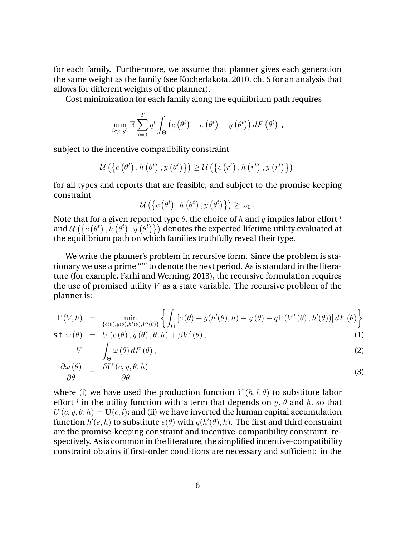for each family. Furthermore, we assume that planner gives each generation the same weight as the family (see Kocherlakota, 2010, ch. 5 for an analysis that allows for different weights of the planner).

Cost minimization for each family along the equilibrium path requires

$$
\min_{\{c,e,y\}} \mathbb{E} \sum_{t=0}^{T} q^t \int_{\Theta} \left( c\left(\theta^t\right) + e\left(\theta^t\right) - y\left(\theta^t\right) \right) dF\left(\theta^t\right) ,
$$

subject to the incentive compatibility constraint

$$
\mathcal{U}\left(\left\{c\left(\theta^{t}\right),h\left(\theta^{t}\right),y\left(\theta^{t}\right)\right\}\right)\geq\mathcal{U}\left(\left\{c\left(r^{t}\right),h\left(r^{t}\right),y\left(r^{t}\right)\right\}\right)
$$

for all types and reports that are feasible, and subject to the promise keeping constraint

$$
\mathcal{U}\left(\left\{c\left(\theta^{t}\right),h\left(\theta^{t}\right),y\left(\theta^{t}\right)\right\}\right)\geq\omega_{0}.
$$

Note that for a given reported type  $\theta$ , the choice of h and y implies labor effort l and  $\mathcal{U}\left(\left\{c\left(\theta^t\right), h\left(\theta^t\right), y\left(\theta^t\right)\right\}\right)$  denotes the expected lifetime utility evaluated at the equilibrium path on which families truthfully reveal their type.

We write the planner's problem in recursive form. Since the problem is stationary we use a prime "'" to denote the next period. As is standard in the literature (for example, Farhi and Werning, 2013), the recursive formulation requires the use of promised utility  $V$  as a state variable. The recursive problem of the planner is:

$$
\Gamma(V,h) = \min_{\{c(\theta), y(\theta), h'(\theta), V'(\theta)\}} \left\{ \int_{\Theta} \left[ c(\theta) + g(h'(\theta), h) - y(\theta) + q\Gamma(V'(\theta), h'(\theta)) \right] dF(\theta) \right\}
$$
  
s.t.  $\omega(\theta) = U(c(\theta), y(\theta), \theta, h) + \beta V'(\theta)$ , (1)

$$
V = \int_{\Theta} \omega(\theta) dF(\theta), \qquad (2)
$$

$$
\frac{\partial \omega(\theta)}{\partial \theta} = \frac{\partial U(c, y, \theta, h)}{\partial \theta}.
$$
\n(3)

where (i) we have used the production function  $Y(h, l, \theta)$  to substitute labor effort l in the utility function with a term that depends on  $y$ ,  $\theta$  and  $h$ , so that  $U(c, y, \theta, h) = U(c, l)$ ; and (ii) we have inverted the human capital accumulation function  $h'(e,h)$  to substitute  $e(\theta)$  with  $g(h'(\theta),h)$ . The first and third constraint are the promise-keeping constraint and incentive-compatibility constraint, respectively. As is common in the literature, the simplified incentive-compatibility constraint obtains if first-order conditions are necessary and sufficient: in the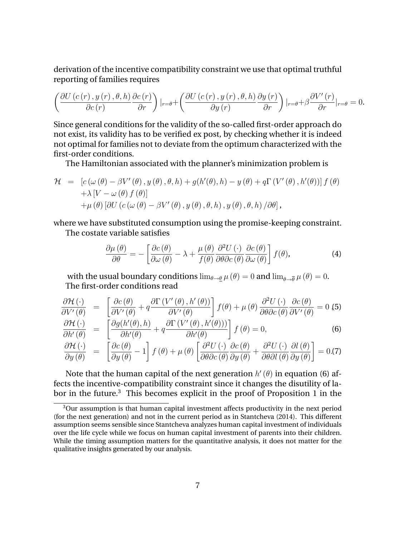derivation of the incentive compatibility constraint we use that optimal truthful reporting of families requires

$$
\left(\frac{\partial U(c(r), y(r), \theta, h)}{\partial c(r)} \frac{\partial c(r)}{\partial r}\right)|_{r=\theta} + \left(\frac{\partial U(c(r), y(r), \theta, h)}{\partial y(r)} \frac{\partial y(r)}{\partial r}\right)|_{r=\theta} + \beta \frac{\partial V'(r)}{\partial r}|_{r=\theta} = 0.
$$

Since general conditions for the validity of the so-called first-order approach do not exist, its validity has to be verified ex post, by checking whether it is indeed not optimal for families not to deviate from the optimum characterized with the first-order conditions.

The Hamiltonian associated with the planner's minimization problem is

$$
\mathcal{H} = [c(\omega(\theta) - \beta V'(\theta), y(\theta), \theta, h) + g(h'(\theta), h) - y(\theta) + q\Gamma(V'(\theta), h'(\theta))] f(\theta) \n+ \lambda [V - \omega(\theta) f(\theta)] \n+ \mu(\theta) [\partial U (c(\omega(\theta) - \beta V'(\theta), y(\theta), \theta, h), y(\theta), \theta, h) / \partial \theta],
$$

where we have substituted consumption using the promise-keeping constraint. The costate variable satisfies

$$
\frac{\partial \mu(\theta)}{\partial \theta} = -\left[ \frac{\partial c(\theta)}{\partial \omega(\theta)} - \lambda + \frac{\mu(\theta)}{f(\theta)} \frac{\partial^2 U(\cdot)}{\partial \theta \partial c(\theta)} \frac{\partial c(\theta)}{\partial \omega(\theta)} \right] f(\theta), \tag{4}
$$

with the usual boundary conditions  $\lim_{\theta \to \theta} \mu(\theta) = 0$  and  $\lim_{\theta \to \overline{\theta}} \mu(\theta) = 0$ . The first-order conditions read

$$
\frac{\partial \mathcal{H}(\cdot)}{\partial V'(\theta)} = \left[ \frac{\partial c(\theta)}{\partial V'(\theta)} + q \frac{\partial \Gamma(V'(\theta), h'(\theta))}{\partial V'(\theta)} \right] f(\theta) + \mu(\theta) \frac{\partial^2 U(\cdot)}{\partial \theta \partial c(\theta)} \frac{\partial c(\theta)}{\partial V'(\theta)} = 0,5
$$
\n
$$
\frac{\partial \mathcal{H}(\cdot)}{\partial h'(\theta)} = \left[ \frac{\partial g(h'(\theta), h)}{\partial h'(\theta)} + q \frac{\partial \Gamma(V'(\theta), h'(\theta))}{\partial h'(\theta)} \right] f(\theta) = 0,
$$
\n(6)

$$
\frac{\partial \mathcal{H}(\cdot)}{\partial y(\theta)} = \left[ \frac{\partial c(\theta)}{\partial y(\theta)} - 1 \right] f(\theta) + \mu(\theta) \left[ \frac{\partial^2 U(\cdot)}{\partial \theta \partial c(\theta)} \frac{\partial c(\theta)}{\partial y(\theta)} + \frac{\partial^2 U(\cdot)}{\partial \theta \partial l(\theta)} \frac{\partial l(\theta)}{\partial y(\theta)} \right] = 0. (7)
$$

Note that the human capital of the next generation  $h'(\theta)$  in equation (6) affects the incentive-compatibility constraint since it changes the disutility of labor in the future.<sup>3</sup> This becomes explicit in the proof of Proposition 1 in the

<sup>&</sup>lt;sup>3</sup>Our assumption is that human capital investment affects productivity in the next period (for the next generation) and not in the current period as in Stantcheva (2014). This different assumption seems sensible since Stantcheva analyzes human capital investment of individuals over the life cycle while we focus on human capital investment of parents into their children. While the timing assumption matters for the quantitative analysis, it does not matter for the qualitative insights generated by our analysis.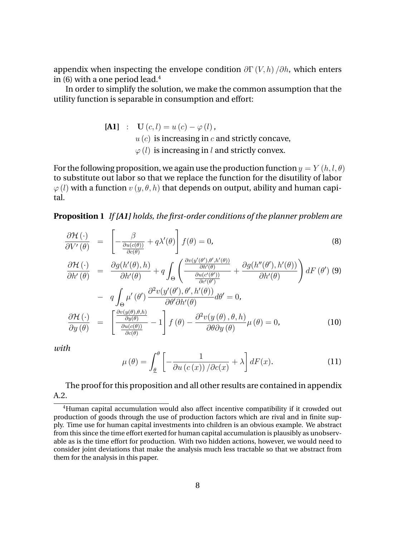appendix when inspecting the envelope condition  $\partial \Gamma(V, h)/\partial h$ , which enters in  $(6)$  with a one period lead.<sup>4</sup>

In order to simplify the solution, we make the common assumption that the utility function is separable in consumption and effort:

[**A1**] : **U** (*c*, *l*) = 
$$
u(c) - \varphi(l)
$$
,  
\n*u* (*c*) is increasing in *c* and strictly concave,  
\n $\varphi(l)$  is increasing in *l* and strictly convex.

For the following proposition, we again use the production function  $y = Y(h, l, \theta)$ to substitute out labor so that we replace the function for the disutility of labor  $\varphi$  (*l*) with a function  $v$  ( $y$ ,  $\theta$ ,  $h$ ) that depends on output, ability and human capital.

**Proposition 1** *If [A1] holds, the first-order conditions of the planner problem are*

$$
\frac{\partial \mathcal{H}\left(\cdot\right)}{\partial V'\left(\theta\right)} = \left[-\frac{\beta}{\frac{\partial u(c(\theta))}{\partial c(\theta)}} + q\lambda'(\theta)\right]f(\theta) = 0,\tag{8}
$$

$$
\frac{\partial \mathcal{H}(\cdot)}{\partial h'(\theta)} = \frac{\partial g(h'(\theta), h)}{\partial h'(\theta)} + q \int_{\Theta} \left( \frac{\frac{\partial v(y'(\theta'), \theta', h'(\theta))}{\partial h'(\theta)}}{\frac{\partial u(c'(\theta'))}{\partial c'(\theta')}} + \frac{\partial g(h''(\theta'), h'(\theta))}{\partial h'(\theta)} \right) dF(\theta')
$$
 (9)

$$
- q \int_{\Theta} \mu'(\theta') \frac{\partial^2 v(y'(\theta'), \theta', h'(\theta))}{\partial \theta' \partial h'(\theta)} d\theta' = 0,
$$
  

$$
\frac{\partial \mathcal{H}(\cdot)}{\partial y(\theta)} = \left[ \frac{\frac{\partial v(y(\theta), \theta, h)}{\partial y(\theta)}}{\frac{\partial u(c(\theta))}{\partial c(\theta)}} - 1 \right] f(\theta) - \frac{\partial^2 v(y(\theta), \theta, h)}{\partial \theta \partial y(\theta)} \mu(\theta) = 0,
$$
 (10)

*with*

$$
\mu(\theta) = \int_{\underline{\theta}}^{\theta} \left[ -\frac{1}{\partial u \left( c \left( x \right) \right) / \partial c(x)} + \lambda \right] dF(x). \tag{11}
$$

### The proof for this proposition and all other results are contained in appendix A.2.

<sup>&</sup>lt;sup>4</sup>Human capital accumulation would also affect incentive compatibility if it crowded out production of goods through the use of production factors which are rival and in finite supply. Time use for human capital investments into children is an obvious example. We abstract from this since the time effort exerted for human capital accumulation is plausibly as unobservable as is the time effort for production. With two hidden actions, however, we would need to consider joint deviations that make the analysis much less tractable so that we abstract from them for the analysis in this paper.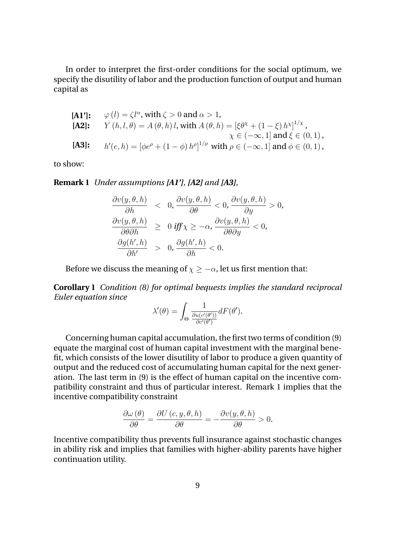In order to interpret the first-order conditions for the social optimum, we specify the disutility of labor and the production function of output and human capital as

[**A1**]: 
$$
\varphi(l) = \zeta l^{\alpha}
$$
, with  $\zeta > 0$  and  $\alpha > 1$ ,  
\n[**A2**]:  $Y(h, l, \theta) = A(\theta, h) l$ , with  $A(\theta, h) = [\xi \theta^{\chi} + (1 - \xi) h^{\chi}]^{1/\chi}$ ,  
\n $\chi \in (-\infty, 1]$  and  $\xi \in (0, 1)$ ,  
\n[**A3**]:  $h'(e, h) = [\phi e^{\rho} + (1 - \phi) h^{\rho}]^{1/\rho}$  with  $\rho \in (-\infty, 1]$  and  $\phi \in (0, 1)$ ,

to show:

**Remark 1** *Under assumptions [A1'], [A2] and [A3],*

$$
\frac{\partial v(y, \theta, h)}{\partial h} < 0, \frac{\partial v(y, \theta, h)}{\partial \theta} < 0, \frac{\partial v(y, \theta, h)}{\partial y} > 0, \\
\frac{\partial v(y, \theta, h)}{\partial \theta \partial h} > 0 \text{ iff } \chi \ge -\alpha, \frac{\partial v(y, \theta, h)}{\partial \theta \partial y} < 0, \\
\frac{\partial g(h', h)}{\partial h'} > 0, \frac{\partial g(h', h)}{\partial h} < 0.
$$

Before we discuss the meaning of  $\chi \ge -\alpha$ , let us first mention that:

**Corollary 1** *Condition (8) for optimal bequests implies the standard reciprocal Euler equation since*

$$
\lambda'(\theta) = \int_{\Theta} \frac{1}{\frac{\partial u(c'(\theta'))}{\partial c'(\theta')}} dF(\theta').
$$

Concerning human capital accumulation, the first two terms of condition (9) equate the marginal cost of human capital investment with the marginal benefit, which consists of the lower disutility of labor to produce a given quantity of output and the reduced cost of accumulating human capital for the next generation. The last term in (9) is the effect of human capital on the incentive compatibility constraint and thus of particular interest. Remark 1 implies that the incentive compatibility constraint

$$
\frac{\partial \omega(\theta)}{\partial \theta} = \frac{\partial U(c, y, \theta, h)}{\partial \theta} = -\frac{\partial v(y, \theta, h)}{\partial \theta} > 0.
$$

Incentive compatibility thus prevents full insurance against stochastic changes in ability risk and implies that families with higher-ability parents have higher continuation utility.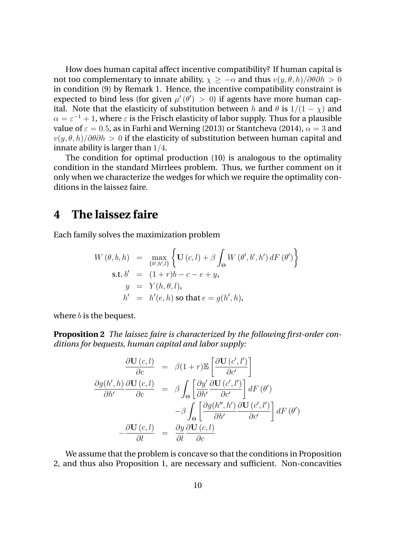How does human capital affect incentive compatibility? If human capital is not too complementary to innate ability,  $\chi > -\alpha$  and thus  $v(y, \theta, h)/\partial\theta\partial h > 0$ in condition (9) by Remark 1. Hence, the incentive compatibility constraint is expected to bind less (for given  $\mu'(\theta') > 0$ ) if agents have more human capital. Note that the elasticity of substitution between h and  $\theta$  is  $1/(1 - \chi)$  and  $\alpha = \varepsilon^{-1} + 1$ , where  $\varepsilon$  is the Frisch elasticity of labor supply. Thus for a plausible value of  $\varepsilon = 0.5$ , as in Farhi and Werning (2013) or Stantcheva (2014),  $\alpha = 3$  and  $v(y, \theta, h)/\partial\theta\partial h > 0$  if the elasticity of substitution between human capital and innate ability is larger than  $1/4$ .

The condition for optimal production (10) is analogous to the optimality condition in the standard Mirrlees problem. Thus, we further comment on it only when we characterize the wedges for which we require the optimality conditions in the laissez faire.

## **4 The laissez faire**

Each family solves the maximization problem

$$
W(\theta, b, h) = \max_{\{b', h', l\}} \left\{ \mathbf{U}(c, l) + \beta \int_{\Theta} W(\theta', b', h') dF(\theta') \right\}
$$
  
s.t.  $b' = (1 + r)b - c - e + y$ ,  
 $y = Y(h, \theta, l)$ ,  
 $h' = h'(e, h) \text{ so that } e = g(h', h)$ ,

where  $b$  is the bequest.

**Proposition 2** *The laissez faire is characterized by the following first-order conditions for bequests, human capital and labor supply:*

$$
\frac{\partial \mathbf{U}(c,l)}{\partial c} = \beta(1+r)\mathbb{E}\left[\frac{\partial \mathbf{U}(c',l')}{\partial c'}\right]
$$

$$
\frac{\partial g(h',h)}{\partial h'}\frac{\partial \mathbf{U}(c,l)}{\partial c} = \beta \int_{\Theta} \left[\frac{\partial y'}{\partial h'}\frac{\partial \mathbf{U}(c',l')}{\partial c'}\right] dF(\theta')
$$

$$
-\beta \int_{\Theta} \left[\frac{\partial g(h'',h')}{\partial h'}\frac{\partial \mathbf{U}(c',l')}{\partial c'}\right] dF(\theta')
$$

$$
-\frac{\partial \mathbf{U}(c,l)}{\partial l} = \frac{\partial y}{\partial l}\frac{\partial \mathbf{U}(c,l)}{\partial c}
$$

We assume that the problem is concave so that the conditions in Proposition 2, and thus also Proposition 1, are necessary and sufficient. Non-concavities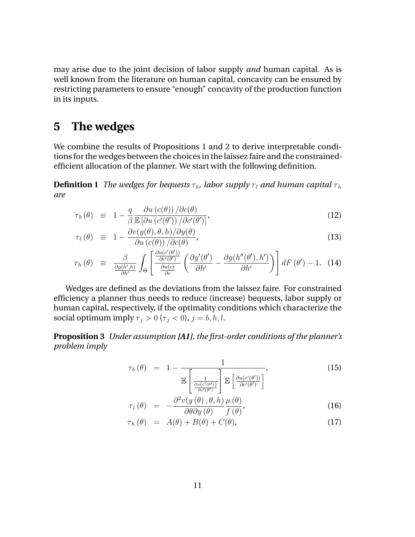may arise due to the joint decision of labor supply *and* human capital. As is well known from the literature on human capital, concavity can be ensured by restricting parameters to ensure "enough" concavity of the production function in its inputs.

## **5 The wedges**

We combine the results of Propositions 1 and 2 to derive interpretable conditions for the wedges between the choices in the laissez faire and the constrainedefficient allocation of the planner. We start with the following definition.

**Definition 1** *The wedges for bequests*  $\tau_b$ , *labor supply*  $\tau_l$  *and human capital*  $\tau_h$ *are*

$$
\tau_b(\theta) \equiv 1 - \frac{q}{\beta} \frac{\partial u(c(\theta))}{\mathbb{E} \left[ \partial u(c'(\theta')) / \partial c'(\theta') \right]},
$$
\n(12)

$$
\tau_l(\theta) \equiv 1 - \frac{\partial v(y(\theta), \theta, h)/\partial y(\theta)}{\partial u(c(\theta)) / \partial c(\theta)},
$$
\n(13)

$$
\tau_h(\theta) \equiv \frac{\beta}{\frac{\partial g(h',h)}{\partial h'}} \int_{\Theta} \left[ \frac{\frac{\partial u(c'(\theta'))}{\partial c'} \left( \frac{\partial y'(\theta')}{\partial h'} - \frac{\partial g(h''(\theta'),h')}{\partial h'} \right) \right] dF(\theta') - 1. \quad (14)
$$

Wedges are defined as the deviations from the laissez faire. For constrained efficiency a planner thus needs to reduce (increase) bequests, labor supply or human capital, respectively, if the optimality conditions which characterize the social optimum imply  $\tau_j > 0$  ( $\tau_j < 0$ ),  $j = b, h, l$ .

**Proposition 3** *Under assumption [A1], the first-order conditions of the planner's problem imply*

$$
\tau_b(\theta) = 1 - \frac{1}{\mathbb{E}\left[\frac{1}{\frac{\partial u(c'(\theta'))}{\partial c'(\theta')}}\right] \mathbb{E}\left[\frac{\partial u(c'(\theta'))}{\partial c'(\theta')}\right]},
$$
\n(15)

$$
\tau_{l}(\theta) = -\frac{\partial^{2} v(y(\theta), \theta, h)}{\partial \theta \partial y(\theta)} \frac{\mu(\theta)}{f(\theta)},
$$
\n(16)

$$
\tau_h(\theta) = A(\theta) + B(\theta) + C(\theta), \qquad (17)
$$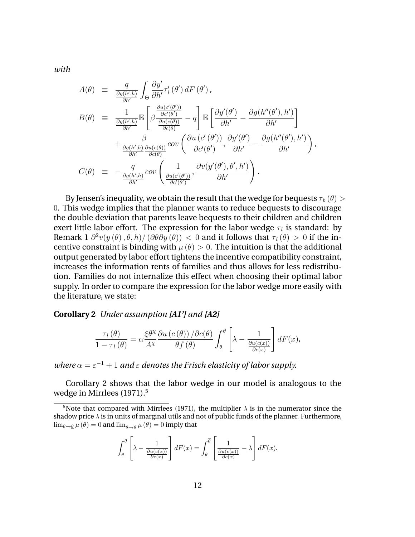*with*

$$
A(\theta) \equiv \frac{q}{\frac{\partial g(h',h)}{\partial h'}} \int_{\Theta} \frac{\partial y'}{\partial h'} \tau'_l(\theta') dF(\theta'),
$$
  
\n
$$
B(\theta) \equiv \frac{1}{\frac{\partial g(h',h)}{\partial h'}} \mathbb{E} \left[ \beta \frac{\frac{\partial u(c'(\theta'))}{\partial c'(\theta')}}{\frac{\partial u(c(\theta))}{\partial c(\theta)}} - q \right] \mathbb{E} \left[ \frac{\partial y'(\theta')}{\partial h'} - \frac{\partial g(h''(\theta'),h')}{\partial h'} \right]
$$
  
\n
$$
+ \frac{\beta}{\frac{\partial g(h',h)}{\partial h'} \frac{\partial u(c(\theta))}{\partial c(\theta)}} cov \left( \frac{\partial u(c'(\theta'))}{\partial c'(\theta')}, \frac{\partial y'(\theta')}{\partial h'} - \frac{\partial g(h''(\theta'),h')}{\partial h'} \right),
$$
  
\n
$$
C(\theta) \equiv -\frac{q}{\frac{\partial g(h',h)}{\partial h'}} cov \left( \frac{1}{\frac{\partial u(c'(\theta'))}{\partial c'(\theta')}} \frac{\partial v(y'(\theta'),\theta',h')}{\partial h'} \right).
$$

By Jensen's inequality, we obtain the result that the wedge for bequests  $\tau_b (\theta)$  > 0. This wedge implies that the planner wants to reduce bequests to discourage the double deviation that parents leave bequests to their children and children exert little labor effort. The expression for the labor wedge  $\tau_l$  is standard: by Remark  $1 \partial^2 v(y(\theta), \theta, h) / (\partial \theta \partial y(\theta)) < 0$  and it follows that  $\tau_l(\theta) > 0$  if the incentive constraint is binding with  $\mu(\theta) > 0$ . The intuition is that the additional output generated by labor effort tightens the incentive compatibility constraint, increases the information rents of families and thus allows for less redistribution. Families do not internalize this effect when choosing their optimal labor supply. In order to compare the expression for the labor wedge more easily with the literature, we state:

**Corollary 2** *Under assumption [A1'] and [A2]*

$$
\frac{\tau_l(\theta)}{1-\tau_l(\theta)} = \alpha \frac{\xi \theta^{\chi}}{A^{\chi}} \frac{\partial u(c(\theta))}{\partial f(\theta)} / \int_{\theta}^{\theta} \left[ \lambda - \frac{1}{\frac{\partial u(c(x))}{\partial c(x)}} \right] dF(x),
$$

*where*  $\alpha = \varepsilon^{-1} + 1$  *and*  $\varepsilon$  *denotes the Frisch elasticity of labor supply.* 

Corollary 2 shows that the labor wedge in our model is analogous to the wedge in Mirrlees (1971).<sup>5</sup>

$$
\int_{\underline{\theta}}^{\theta} \left[ \lambda - \frac{1}{\frac{\partial u(c(x))}{\partial c(x)}} \right] dF(x) = \int_{\theta}^{\overline{\theta}} \left[ \frac{1}{\frac{\partial u(c(x))}{\partial c(x)}} - \lambda \right] dF(x).
$$

<sup>&</sup>lt;sup>5</sup>Note that compared with Mirrlees (1971), the multiplier  $\lambda$  is in the numerator since the shadow price  $\lambda$  is in units of marginal utils and not of public funds of the planner. Furthermore,  $\lim_{\theta\to \underline{\theta}}\mu(\theta)=0$  and  $\lim_{\theta\to \overline{\theta}}\mu(\theta)=0$  imply that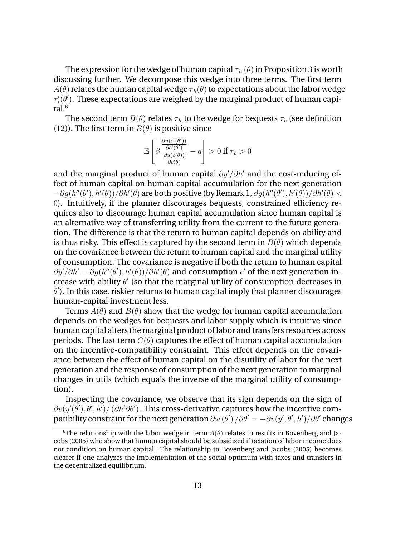The expression for the wedge of human capital  $\tau_h (\theta)$  in Proposition 3 is worth discussing further. We decompose this wedge into three terms. The first term  $A(\theta)$  relates the human capital wedge  $\tau_h(\theta)$  to expectations about the labor wedge  $\tau'_l(\theta')$ . These expectations are weighed by the marginal product of human capital.<sup>6</sup>

The second term  $B(\theta)$  relates  $\tau_h$  to the wedge for bequests  $\tau_b$  (see definition (12)). The first term in  $B(\theta)$  is positive since

$$
\mathbb{E}\left[\beta \frac{\frac{\partial u(c'(\theta'))}{\partial c'(\theta')}}{\frac{\partial u(c(\theta))}{\partial c(\theta)}} - q\right] > 0 \text{ if } \tau_b > 0
$$

and the marginal product of human capital  $\partial y^{\prime}/\partial h^{\prime}$  and the cost-reducing effect of human capital on human capital accumulation for the next generation  $-\partial g(h''(\theta'),h'(\theta))/\partial h'(\theta)$  are both positive (by Remark 1,  $\partial g(h''(\theta'),h'(\theta))/\partial h'(\theta) <$ 0). Intuitively, if the planner discourages bequests, constrained efficiency requires also to discourage human capital accumulation since human capital is an alternative way of transferring utility from the current to the future generation. The difference is that the return to human capital depends on ability and is thus risky. This effect is captured by the second term in  $B(\theta)$  which depends on the covariance between the return to human capital and the marginal utility of consumption. The covariance is negative if both the return to human capital  $\partial y' / \partial h' - \partial g (h''(\theta'), h'(\theta)) / \partial h'(\theta)$  and consumption c' of the next generation increase with ability  $\theta'$  (so that the marginal utility of consumption decreases in  $\theta'$ ). In this case, riskier returns to human capital imply that planner discourages human-capital investment less.

Terms  $A(\theta)$  and  $B(\theta)$  show that the wedge for human capital accumulation depends on the wedges for bequests and labor supply which is intuitive since human capital alters the marginal product of labor and transfers resources across periods. The last term  $C(\theta)$  captures the effect of human capital accumulation on the incentive-compatibility constraint. This effect depends on the covariance between the effect of human capital on the disutility of labor for the next generation and the response of consumption of the next generation to marginal changes in utils (which equals the inverse of the marginal utility of consumption).

Inspecting the covariance, we observe that its sign depends on the sign of  $\partial v(y'(\theta'), \theta', h') / (\partial h' \partial \theta')$ . This cross-derivative captures how the incentive compatibility constraint for the next generation  $\partial \omega (\theta')$  / $\partial \theta' = -\partial v(y', \theta', h')/\partial \theta'$  changes

<sup>&</sup>lt;sup>6</sup>The relationship with the labor wedge in term  $A(\theta)$  relates to results in Bovenberg and Jacobs (2005) who show that human capital should be subsidized if taxation of labor income does not condition on human capital. The relationship to Bovenberg and Jacobs (2005) becomes clearer if one analyzes the implementation of the social optimum with taxes and transfers in the decentralized equilibrium.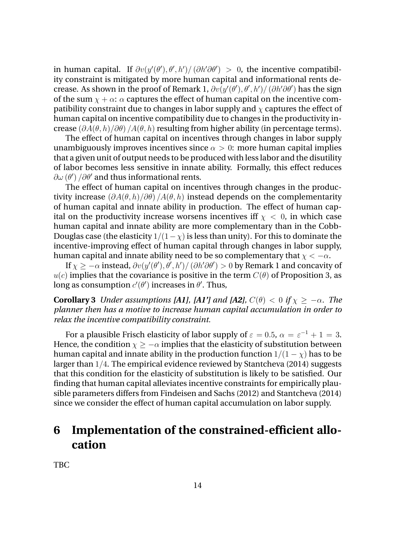in human capital. If  $\partial v(y'(\theta'), \theta', h') / (\partial h' \partial \theta') > 0$ , the incentive compatibility constraint is mitigated by more human capital and informational rents decrease. As shown in the proof of Remark 1,  $\partial v(y'(\theta'), \theta', h')/ \left( \partial h' \partial \theta' \right)$  has the sign of the sum  $\chi + \alpha$ :  $\alpha$  captures the effect of human capital on the incentive compatibility constraint due to changes in labor supply and  $\chi$  captures the effect of human capital on incentive compatibility due to changes in the productivity increase  $(\partial A(\theta, h)/\partial \theta)$  /A( $\theta, h$ ) resulting from higher ability (in percentage terms).

The effect of human capital on incentives through changes in labor supply unambiguously improves incentives since  $\alpha > 0$ : more human capital implies that a given unit of output needs to be produced with less labor and the disutility of labor becomes less sensitive in innate ability. Formally, this effect reduces  $\partial \omega \left( \theta^{\prime }\right) /\partial \theta^{\prime }$  and thus informational rents.

The effect of human capital on incentives through changes in the productivity increase  $\left(\frac{\partial A(\theta, h)}{\partial \theta}\right)/A(\theta, h)$  instead depends on the complementarity of human capital and innate ability in production. The effect of human capital on the productivity increase worsens incentives iff  $\chi$  < 0, in which case human capital and innate ability are more complementary than in the Cobb-Douglas case (the elasticity  $1/(1-\chi)$  is less than unity). For this to dominate the incentive-improving effect of human capital through changes in labor supply, human capital and innate ability need to be so complementary that  $\chi < -\alpha$ .

If  $\chi \geq -\alpha$  instead,  $\partial v(y'(\theta'), \theta', h') / (\partial h' \partial \theta') > 0$  by Remark 1 and concavity of  $u(c)$  implies that the covariance is positive in the term  $C(\theta)$  of Proposition 3, as long as consumption  $c'(\theta')$  increases in  $\theta'.$  Thus,

**Corollary 3** *Under assumptions [A1], [A1'] and [A2],*  $C(\theta) < 0$  *if*  $\chi \ge -\alpha$ *. The planner then has a motive to increase human capital accumulation in order to relax the incentive compatibility constraint.*

For a plausible Frisch elasticity of labor supply of  $\varepsilon = 0.5$ ,  $\alpha = \varepsilon^{-1} + 1 = 3$ . Hence, the condition  $x > -\alpha$  implies that the elasticity of substitution between human capital and innate ability in the production function  $1/(1 - \chi)$  has to be larger than  $1/4$ . The empirical evidence reviewed by Stantcheva (2014) suggests that this condition for the elasticity of substitution is likely to be satisfied. Our finding that human capital alleviates incentive constraints for empirically plausible parameters differs from Findeisen and Sachs (2012) and Stantcheva (2014) since we consider the effect of human capital accumulation on labor supply.

## **6 Implementation of the constrained-efficient allocation**

TBC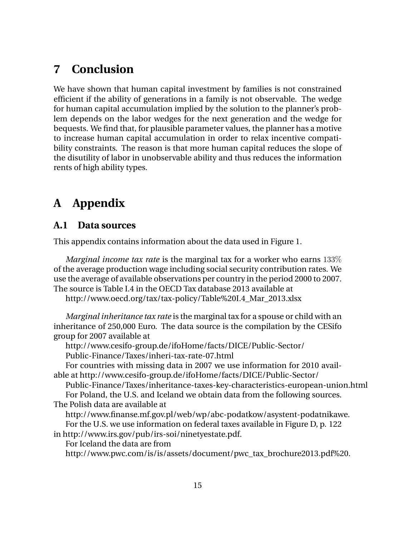## **7 Conclusion**

We have shown that human capital investment by families is not constrained efficient if the ability of generations in a family is not observable. The wedge for human capital accumulation implied by the solution to the planner's problem depends on the labor wedges for the next generation and the wedge for bequests. We find that, for plausible parameter values, the planner has a motive to increase human capital accumulation in order to relax incentive compatibility constraints. The reason is that more human capital reduces the slope of the disutility of labor in unobservable ability and thus reduces the information rents of high ability types.

# **A Appendix**

### **A.1 Data sources**

This appendix contains information about the data used in Figure 1.

*Marginal income tax rate* is the marginal tax for a worker who earns 133% of the average production wage including social security contribution rates. We use the average of available observations per country in the period 2000 to 2007. The source is Table I.4 in the OECD Tax database 2013 available at

http://www.oecd.org/tax/tax-policy/Table%20I.4\_Mar\_2013.xlsx

*Marginal inheritance tax rate* is the marginal tax for a spouse or child with an inheritance of 250,000 Euro. The data source is the compilation by the CESifo group for 2007 available at

http://www.cesifo-group.de/ifoHome/facts/DICE/Public-Sector/ Public-Finance/Taxes/inheri-tax-rate-07.html

For countries with missing data in 2007 we use information for 2010 available at http://www.cesifo-group.de/ifoHome/facts/DICE/Public-Sector/

Public-Finance/Taxes/inheritance-taxes-key-characteristics-european-union.html For Poland, the U.S. and Iceland we obtain data from the following sources. The Polish data are available at

http://www.finanse.mf.gov.pl/web/wp/abc-podatkow/asystent-podatnikawe. For the U.S. we use information on federal taxes available in Figure D, p. 122

in http://www.irs.gov/pub/irs-soi/ninetyestate.pdf.

For Iceland the data are from

http://www.pwc.com/is/is/assets/document/pwc\_tax\_brochure2013.pdf%20.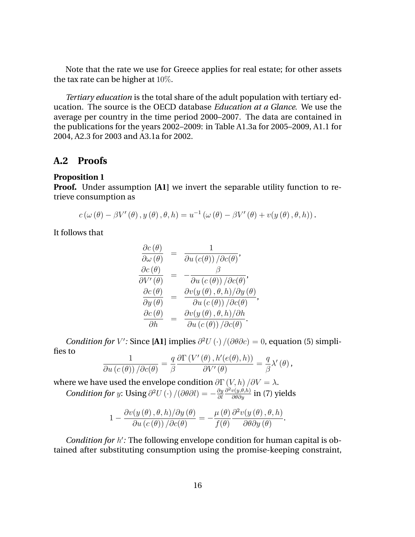Note that the rate we use for Greece applies for real estate; for other assets the tax rate can be higher at 10%.

*Tertiary education* is the total share of the adult population with tertiary education. The source is the OECD database *Education at a Glance*. We use the average per country in the time period 2000–2007. The data are contained in the publications for the years 2002–2009: in Table A1.3a for 2005–2009, A1.1 for 2004, A2.3 for 2003 and A3.1a for 2002.

### **A.2 Proofs**

#### **Proposition 1**

**Proof.** Under assumption **[A1]** we invert the separable utility function to retrieve consumption as

$$
c(\omega(\theta) - \beta V'(\theta), y(\theta), \theta, h) = u^{-1}(\omega(\theta) - \beta V'(\theta) + v(y(\theta), \theta, h)).
$$

It follows that

$$
\begin{array}{rcl}\n\frac{\partial c(\theta)}{\partial \omega(\theta)} & = & \frac{1}{\partial u \left(c(\theta)\right) / \partial c(\theta)}, \\
\frac{\partial c(\theta)}{\partial V'(\theta)} & = & -\frac{\beta}{\partial u \left(c(\theta)\right) / \partial c(\theta)}, \\
\frac{\partial c(\theta)}{\partial y(\theta)} & = & \frac{\partial v(y(\theta), \theta, h) / \partial y(\theta)}{\partial u \left(c(\theta)\right) / \partial c(\theta)}, \\
\frac{\partial c(\theta)}{\partial h} & = & \frac{\partial v(y(\theta), \theta, h) / \partial h}{\partial u \left(c(\theta)\right) / \partial c(\theta)}.\n\end{array}
$$

*Condition for V*': Since [**A1**] implies  $\partial^2 U(\cdot) /(\partial \theta \partial c) = 0$ , equation (5) simplifies to

$$
\frac{1}{\partial u\left(c\left(\theta\right)\right)/\partial c(\theta)}=\frac{q}{\beta}\frac{\partial \Gamma\left(V'\left(\theta\right),h'\left(e(\theta),h\right)\right)}{\partial V'\left(\theta\right)}=\frac{q}{\beta}\lambda'\left(\theta\right),\,
$$

where we have used the envelope condition  $\partial\Gamma\left(V,h\right)/\partial V = \lambda.$ *Condition for y*: Using  $\partial^2 U(\cdot) /(\partial \theta \partial l) = -\frac{\partial y}{\partial l}$  $\partial l$  $\frac{\partial^2 v(y, \theta, h)}{\partial \theta \partial y}$  in (7) yields

$$
1 - \frac{\partial v(y(\theta), \theta, h)/\partial y(\theta)}{\partial u(c(\theta))}/\partial c(\theta) = -\frac{\mu(\theta)}{f(\theta)} \frac{\partial^2 v(y(\theta), \theta, h)}{\partial \theta \partial y(\theta)}.
$$

*Condition for h'*: The following envelope condition for human capital is obtained after substituting consumption using the promise-keeping constraint,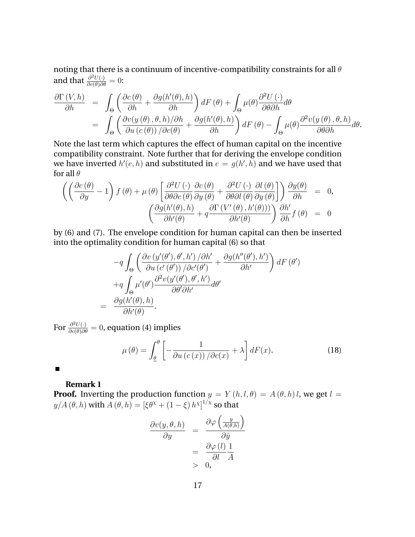noting that there is a continuum of incentive-compatibility constraints for all  $\theta$ and that  $\frac{\partial^2 U(\cdot)}{\partial c(\theta)\partial \theta} = 0$ :

$$
\frac{\partial \Gamma\left(V,h\right)}{\partial h} = \int_{\Theta} \left( \frac{\partial c(\theta)}{\partial h} + \frac{\partial g(h'(\theta),h)}{\partial h} \right) dF(\theta) + \int_{\Theta} \mu(\theta) \frac{\partial^2 U(\cdot)}{\partial \theta \partial h} d\theta \n= \int_{\Theta} \left( \frac{\partial v(y(\theta), \theta, h)/\partial h}{\partial u(c(\theta))}/\frac{\partial g(h'(\theta), h)}{\partial h} \right) dF(\theta) - \int_{\Theta} \mu(\theta) \frac{\partial^2 v(y(\theta), \theta, h)}{\partial \theta \partial h} d\theta.
$$

Note the last term which captures the effect of human capital on the incentive compatibility constraint. Note further that for deriving the envelope condition we have inverted  $h'(e,h)$  and substituted in  $e\,=\,g(h',h)$  and we have used that for all  $\theta$ 

$$
\begin{array}{lcl} \displaystyle \left(\left(\frac{\partial c\left(\theta\right)}{\partial y}-1\right)f\left(\theta\right)+\mu\left(\theta\right)\left[\frac{\partial^{2}U\left(\cdot\right)}{\partial\theta\partial c\left(\theta\right)}\frac{\partial c\left(\theta\right)}{\partial y\left(\theta\right)}+\frac{\partial^{2}U\left(\cdot\right)}{\partial\theta\partial l\left(\theta\right)}\frac{\partial l\left(\theta\right)}{\partial y\left(\theta\right)}\right]\right)\frac{\partial y(\theta)}{\partial h} & = & 0,\\ \displaystyle \left(\frac{\partial g\left(h'(\theta),h\right)}{\partial h'(\theta)}+q\frac{\partial\Gamma\left(V'\left(\theta\right),h'(\theta)\right)\right)}{\partial h'(\theta)}\right)\frac{\partial h'}{\partial h}f\left(\theta\right) & = & 0 \end{array}
$$

by (6) and (7). The envelope condition for human capital can then be inserted into the optimality condition for human capital (6) so that

$$
-q \int_{\Theta} \left( \frac{\partial v \left( y'(\theta'), \theta', h' \right) / \partial h'}{\partial u \left( c'(\theta') \right) / \partial c'(\theta')} + \frac{\partial g (h''(\theta'), h')}{\partial h'} \right) dF(\theta') +q \int_{\Theta} \mu'(\theta') \frac{\partial^2 v \left( y'(\theta'), \theta', h' \right)}{\partial \theta' \partial h'} d\theta' = \frac{\partial g (h'(\theta), h)}{\partial h'(\theta)}.
$$

For  $\frac{\partial^2 U(\cdot)}{\partial c(\theta)\partial \theta}=0$ , equation (4) implies

$$
\mu(\theta) = \int_{\underline{\theta}}^{\theta} \left[ -\frac{1}{\partial u \left( c \left( x \right) \right) / \partial c(x)} + \lambda \right] dF(x). \tag{18}
$$

 $\blacksquare$ 

### **Remark 1**

**Proof.** Inverting the production function  $y = Y(h, l, \theta) = A(\theta, h)l$ , we get  $l =$  $y/A(\theta, h)$  with  $A(\theta, h) = [\xi \theta^{\chi} + (1 - \xi) h^{\chi}]^{1/\chi}$  so that

$$
\frac{\partial v(y, \theta, h)}{\partial y} = \frac{\partial \varphi \left(\frac{y}{A(\theta, h)}\right)}{\partial \hat{y}}= \frac{\partial \varphi (l)}{\partial l} \frac{1}{A}0,
$$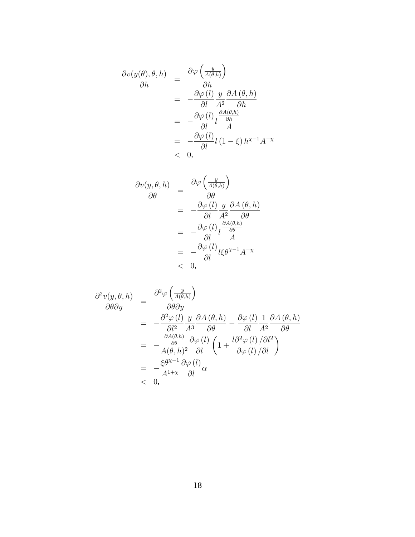$$
\frac{\partial v(y(\theta), \theta, h)}{\partial h} = \frac{\partial \varphi \left(\frac{y}{A(\theta, h)}\right)}{\partial h} \n= -\frac{\partial \varphi (l)}{\partial l} \frac{y}{A^2} \frac{\partial A(\theta, h)}{\partial h} \n= -\frac{\partial \varphi (l)}{\partial l} l \frac{\frac{\partial A(\theta, h)}{\partial h}}{A} \n= -\frac{\partial \varphi (l)}{\partial l} l (1 - \xi) h^{\chi - 1} A^{-\chi} \n< 0,
$$

$$
\frac{\partial v(y, \theta, h)}{\partial \theta} = \frac{\partial \varphi \left(\frac{y}{A(\theta, h)}\right)}{\partial \theta} \n= -\frac{\partial \varphi(l)}{\partial l} \frac{y}{A^2} \frac{\partial A(\theta, h)}{\partial \theta} \n= -\frac{\partial \varphi(l)}{\partial l} l \frac{\frac{\partial A(\theta, h)}{\partial \theta}}{A} \n= -\frac{\partial \varphi(l)}{\partial l} l \xi \theta^{x-1} A^{-x} \n< 0,
$$

$$
\frac{\partial^2 v(y,\theta,h)}{\partial \theta \partial y} = \frac{\partial^2 \varphi \left(\frac{y}{A(\theta,h)}\right)}{\partial \theta \partial y} \n= -\frac{\partial^2 \varphi(l)}{\partial l^2} \frac{y}{A^3} \frac{\partial A(\theta,h)}{\partial \theta} - \frac{\partial \varphi(l)}{\partial l} \frac{1}{A^2} \frac{\partial A(\theta,h)}{\partial \theta} \n= -\frac{\frac{\partial A(\theta,h)}{\partial \theta}}{A(\theta,h)^2} \frac{\partial \varphi(l)}{\partial l} \left(1 + \frac{l \partial^2 \varphi(l)/\partial l^2}{\partial \varphi(l)/\partial l}\right) \n= -\frac{\xi \theta^{\chi-1}}{A^{1+\chi}} \frac{\partial \varphi(l)}{\partial l} \alpha \n< 0,
$$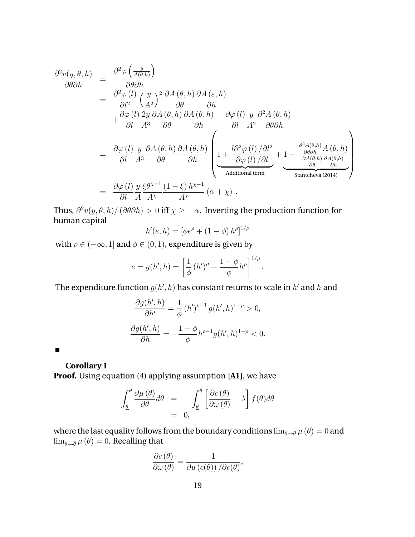$$
\frac{\partial^2 v(y, \theta, h)}{\partial \theta \partial h} = \frac{\partial^2 \varphi \left(\frac{y}{A(\theta, h)}\right)}{\partial \theta \partial h} \n= \frac{\partial^2 \varphi (l)}{\partial l^2} \left(\frac{y}{A^2}\right)^2 \frac{\partial A(\theta, h)}{\partial \theta} \frac{\partial A(\varepsilon, h)}{\partial h} \n+ \frac{\partial \varphi (l)}{\partial l} \frac{2y}{A^3} \frac{\partial A(\theta, h)}{\partial \theta} \frac{\partial A(\theta, h)}{\partial h} - \frac{\partial \varphi (l)}{\partial l} \frac{y}{A^2} \frac{\partial^2 A(\theta, h)}{\partial \theta \partial h} \n= \frac{\partial \varphi (l)}{\partial l} \frac{y}{A^3} \frac{\partial A(\theta, h)}{\partial \theta} \frac{\partial A(\theta, h)}{\partial h} \left( \frac{1 + \frac{l \partial^2 \varphi (l)}{\partial \varphi (l)} / \partial l^2}{\frac{l \partial \varphi (l)}{\partial \theta} + \frac{1 - \frac{\partial^2 A(\theta, h)}{\partial \theta \partial h} A(\theta, h)}{\frac{\partial A(\theta, h)}{\partial \theta}} \right) \n= \frac{\partial \varphi (l)}{\partial l} \frac{y}{A} \frac{\xi \theta^{x-1}}{A^x} \frac{(1 - \xi) h^{x-1}}{A^x} (\alpha + \chi).
$$

Thus,  $\partial^2 v(y, \theta, h) / (\partial \theta \partial h) > 0$  iff  $\chi \ge -\alpha$ . Inverting the production function for human capital

$$
h'(e, h) = [\phi e^{\rho} + (1 - \phi) h^{\rho}]^{1/\rho}
$$

with  $\rho \in (-\infty, 1]$  and  $\phi \in (0, 1)$ , expenditure is given by

$$
e = g(h', h) = \left[\frac{1}{\phi} (h')^{\rho} - \frac{1 - \phi}{\phi} h^{\rho}\right]^{1/\rho}.
$$

The expenditure function  $g(h^\prime,h)$  has constant returns to scale in  $h^\prime$  and  $h$  and

$$
\frac{\partial g(h',h)}{\partial h'} = \frac{1}{\phi} (h')^{\rho-1} g(h',h)^{1-\rho} > 0,
$$
  

$$
\frac{\partial g(h',h)}{\partial h} = -\frac{1-\phi}{\phi} h^{\rho-1} g(h',h)^{1-\rho} < 0.
$$

 $\blacksquare$ 

**Corollary 1**

**Proof.** Using equation (4) applying assumption **[A1]**, we have

$$
\int_{\underline{\theta}}^{\overline{\theta}} \frac{\partial \mu(\theta)}{\partial \theta} d\theta = -\int_{\underline{\theta}}^{\overline{\theta}} \left[ \frac{\partial c(\theta)}{\partial \omega(\theta)} - \lambda \right] f(\theta) d\theta
$$
  
= 0,

where the last equality follows from the boundary conditions  $\lim_{\theta\to \underline{\theta}}\mu(\theta)=0$  and  $\lim_{\theta \to \overline{\theta}} \mu(\theta) = 0$ . Recalling that

$$
\frac{\partial c(\theta)}{\partial \omega(\theta)} = \frac{1}{\partial u(c(\theta)) / \partial c(\theta)},
$$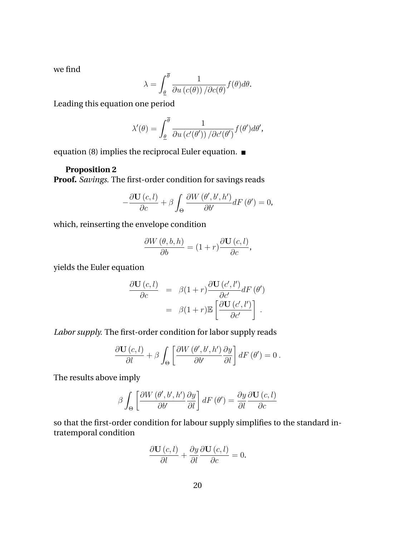we find

$$
\lambda = \int_{\underline{\theta}}^{\overline{\theta}} \frac{1}{\partial u(c(\theta)) / \partial c(\theta)} f(\theta) d\theta.
$$

Leading this equation one period

$$
\lambda'(\theta) = \int_{\underline{\theta}}^{\theta} \frac{1}{\partial u \left( c'(\theta') \right) / \partial c'(\theta')} f(\theta') d\theta',
$$

equation (8) implies the reciprocal Euler equation.

#### **Proposition 2**

**Proof.** *Savings.* The first-order condition for savings reads

 $\mathbf{r}$ 

$$
-\frac{\partial \mathbf{U}(c,l)}{\partial c} + \beta \int_{\Theta} \frac{\partial W(\theta',b',h')}{\partial b'} dF(\theta') = 0,
$$

which, reinserting the envelope condition

$$
\frac{\partial W(\theta, b, h)}{\partial b} = (1+r) \frac{\partial \mathbf{U}(c, l)}{\partial c},
$$

yields the Euler equation

$$
\frac{\partial \mathbf{U}(c,l)}{\partial c} = \beta(1+r) \frac{\partial \mathbf{U}(c',l')}{\partial c'} dF(\theta')
$$

$$
= \beta(1+r) \mathbb{E}\left[\frac{\partial \mathbf{U}(c',l')}{\partial c'}\right].
$$

*Labor supply.* The first-order condition for labor supply reads

$$
\frac{\partial \mathbf{U}(c,l)}{\partial l} + \beta \int_{\Theta} \left[ \frac{\partial W(\theta',b',h')}{\partial b'} \frac{\partial y}{\partial l} \right] dF(\theta') = 0.
$$

The results above imply

$$
\beta \int_{\Theta} \left[ \frac{\partial W\left(\theta', b', h'\right)}{\partial b'} \frac{\partial y}{\partial l} \right] dF\left(\theta'\right) = \frac{\partial y}{\partial l} \frac{\partial \mathbf{U}\left(c, l\right)}{\partial c}
$$

so that the first-order condition for labour supply simplifies to the standard intratemporal condition

$$
\frac{\partial \mathbf{U}(c,l)}{\partial l} + \frac{\partial y}{\partial l} \frac{\partial \mathbf{U}(c,l)}{\partial c} = 0.
$$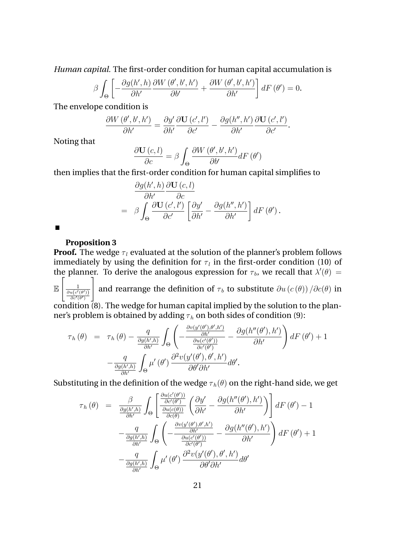*Human capital.* The first-order condition for human capital accumulation is

$$
\beta \int_{\Theta} \left[ -\frac{\partial g(h',h)}{\partial h'} \frac{\partial W(\theta',b',h')}{\partial b'} + \frac{\partial W(\theta',b',h')}{\partial h'} \right] dF(\theta') = 0.
$$

The envelope condition is

$$
\frac{\partial W\left(\theta',b',h'\right)}{\partial h'}=\frac{\partial y'}{\partial h'}\frac{\partial \mathbf{U}\left(c',l'\right)}{\partial c'}-\frac{\partial g(h'',h')}{\partial h'}\frac{\partial \mathbf{U}\left(c',l'\right)}{\partial c'}.
$$

Noting that

$$
\frac{\partial \mathbf{U}(c,l)}{\partial c} = \beta \int_{\Theta} \frac{\partial W(\theta',b',h')}{\partial b'} dF(\theta')
$$

then implies that the first-order condition for human capital simplifies to

$$
\frac{\partial g(h',h)}{\partial h'} \frac{\partial \mathbf{U}(c,l)}{\partial c} \n= \beta \int_{\Theta} \frac{\partial \mathbf{U}(c',l')}{\partial c'} \left[ \frac{\partial y'}{\partial h'} - \frac{\partial g(h'',h')}{\partial h'} \right] dF(\theta').
$$

 $\blacksquare$ 

#### **Proposition 3**

**Proof.** The wedge  $\tau_l$  evaluated at the solution of the planner's problem follows immediately by using the definition for  $\tau_l$  in the first-order condition (10) of the planner. To derive the analogous expression for  $\tau_b$ , we recall that  $\lambda'(\theta)$  =  $\mathbb E$  $\sqrt{ }$ 1  $\partial u\big(c'(\theta')\big)$  $\partial c'(\theta')$ 1 and rearrange the definition of  $\tau_b$  to substitute  $\partial u\left(c\left(\theta\right)\right)/\partial c(\theta)$  in

condition (8). The wedge for human capital implied by the solution to the planner's problem is obtained by adding  $\tau_h$  on both sides of condition (9):

$$
\tau_{h}(\theta) = \tau_{h}(\theta) - \frac{q}{\frac{\partial g(h',h)}{\partial h'}} \int_{\Theta} \left( -\frac{\frac{\partial v(y'(\theta'),\theta',h')}{\partial h'}}{\frac{\partial u(c'(\theta'))}{\partial c'(\theta')}} - \frac{\partial g(h''(\theta'),h')}{\partial h'} \right) dF(\theta') + 1 - \frac{q}{\frac{\partial g(h',h)}{\partial h'}} \int_{\Theta} \mu'(\theta') \frac{\partial^{2} v(y'(\theta'),\theta',h')}{\partial \theta' \partial h'} d\theta'.
$$

Substituting in the definition of the wedge  $\tau_h(\theta)$  on the right-hand side, we get

$$
\tau_{h}(\theta) = \frac{\beta}{\frac{\partial g(h',h)}{\partial h'}} \int_{\Theta} \left[ \frac{\frac{\partial u(c'(\theta'))}{\partial c'(\theta')}}{\frac{\partial u(c(\theta))}{\partial c(\theta)}} \left( \frac{\partial y'}{\partial h'} - \frac{\partial g(h''(\theta'),h')}{\partial h'} \right) \right] dF(\theta') - 1 \n- \frac{q}{\frac{\partial g(h',h)}{\partial h'}} \int_{\Theta} \left( -\frac{\frac{\partial v(y'(\theta'),\theta',h')}{\partial h'}}{\frac{\partial u(c'(\theta'))}{\partial c'(\theta')}} - \frac{\partial g(h''(\theta'),h')}{\partial h'} \right) dF(\theta') + 1 \n- \frac{q}{\frac{\partial g(h',h)}{\partial h'}} \int_{\Theta} \mu'(\theta') \frac{\partial^{2} v(y'(\theta'),\theta',h')}{\partial \theta' \partial h'} d\theta'
$$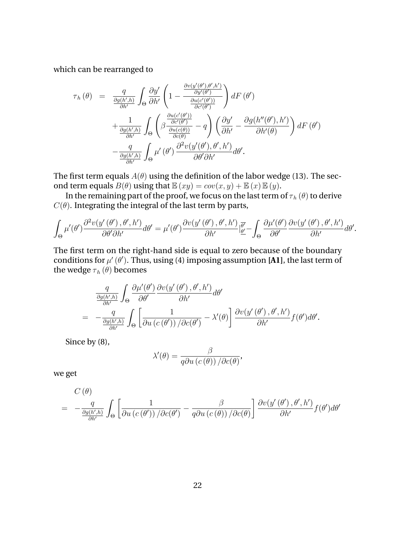which can be rearranged to

$$
\tau_{h}(\theta) = \frac{q}{\frac{\partial g(h',h)}{\partial h'}} \int_{\Theta} \frac{\partial y'}{\partial h'} \left( 1 - \frac{\frac{\partial v(y'(\theta'),\theta',h')}{\partial y'(\theta')}}{\frac{\partial u(c'(\theta'))}{\partial c'(\theta')}} \right) dF(\theta')
$$

$$
+ \frac{1}{\frac{\partial g(h',h)}{\partial h'}} \int_{\Theta} \left( \beta \frac{\frac{\partial u(c'(\theta'))}{\partial c'(\theta')}}{\frac{\partial u(c(\theta))}{\partial c(\theta)}} - q \right) \left( \frac{\partial y'}{\partial h'} - \frac{\partial g(h''(\theta'),h')}{\partial h'(\theta)} \right) dF(\theta')
$$

$$
- \frac{q}{\frac{\partial g(h',h)}{\partial h'}} \int_{\Theta} \mu'(\theta') \frac{\partial^2 v(y'(\theta'),\theta',h')}{\partial \theta' \partial h'} d\theta'.
$$

The first term equals  $A(\theta)$  using the definition of the labor wedge (13). The second term equals  $B(\theta)$  using that  $\mathbb{E}(xy) = cov(x, y) + \mathbb{E}(x)\mathbb{E}(y)$ .

In the remaining part of the proof, we focus on the last term of  $\tau_h(\theta)$  to derive  $C(\theta)$ . Integrating the integral of the last term by parts,

$$
\int_{\Theta} \mu'(\theta') \frac{\partial^2 v(y'(\theta'), \theta', h')}{\partial \theta' \partial h'} d\theta' = \mu'(\theta') \frac{\partial v(y'(\theta'), \theta', h')}{\partial h'} \Big|_{\underline{\theta'}}^{\overline{\theta'}} - \int_{\Theta} \frac{\partial \mu'(\theta')}{\partial \theta'} \frac{\partial v(y'(\theta'), \theta', h')}{\partial h'} d\theta'.
$$

The first term on the right-hand side is equal to zero because of the boundary conditions for  $\mu'(\theta')$ . Thus, using (4) imposing assumption [**A1**], the last term of the wedge  $\tau_h(\theta)$  becomes

$$
\frac{q}{\frac{\partial g(h',h)}{\partial h'}} \int_{\Theta} \frac{\partial \mu'(\theta')}{\partial \theta'} \frac{\partial v(y'(\theta'), \theta', h')}{\partial h'} d\theta'
$$
\n
$$
= -\frac{q}{\frac{\partial g(h',h)}{\partial h'}} \int_{\Theta} \left[ \frac{1}{\partial u \left( c(\theta') \right) / \partial c(\theta')} - \lambda'(\theta) \right] \frac{\partial v(y'(\theta'), \theta', h')}{\partial h'} f(\theta') d\theta'.
$$

Since by (8),

$$
\lambda'(\theta) = \frac{\beta}{q\partial u\left(c\left(\theta\right)\right)/\partial c(\theta)},
$$

we get

$$
C(\theta) = -\frac{q}{\frac{\partial g(h',h)}{\partial h'}} \int_{\Theta} \left[ \frac{1}{\partial u \left( c(\theta') \right)} \frac{\beta}{\partial c(\theta')} - \frac{\beta}{q \partial u \left( c(\theta) \right)} \frac{\partial v(y'(\theta'), \theta', h')}{\partial h'} f(\theta') d\theta' \right]
$$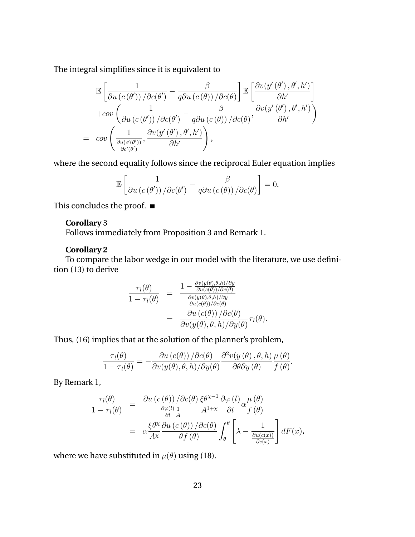The integral simplifies since it is equivalent to

$$
\mathbb{E}\left[\frac{1}{\partial u\left(c\left(\theta'\right)\right)/\partial c(\theta')}-\frac{\beta}{q\partial u\left(c\left(\theta\right)\right)/\partial c(\theta)}\right]\mathbb{E}\left[\frac{\partial v(y'\left(\theta',\theta',h'\right)}{\partial h'}\right] + cov\left(\frac{1}{\partial u\left(c\left(\theta'\right)\right)/\partial c(\theta')}-\frac{\beta}{q\partial u\left(c\left(\theta\right)\right)/\partial c(\theta)},\frac{\partial v(y'\left(\theta',\theta',h'\right)}{\partial h'}\right)\right) = cov\left(\frac{1}{\frac{\partial u(c'(\theta'))}{\partial c'(\theta')}},\frac{\partial v(y'\left(\theta',\theta',h'\right)}{\partial h'}\right),
$$

where the second equality follows since the reciprocal Euler equation implies

$$
\mathbb{E}\left[\frac{1}{\partial u\left(c\left(\theta'\right)\right)/\partial c(\theta')} - \frac{\beta}{q\partial u\left(c\left(\theta\right)\right)/\partial c(\theta)}\right] = 0.
$$

This concludes the proof.  $\blacksquare$ 

#### **Corollary** 3

Follows immediately from Proposition 3 and Remark 1.

### **Corollary 2**

To compare the labor wedge in our model with the literature, we use definition (13) to derive

$$
\frac{\tau_l(\theta)}{1 - \tau_l(\theta)} = \frac{1 - \frac{\partial v(y(\theta), \theta, h)/\partial y}{\partial u(c(\theta))/\partial c(\theta)}}{\frac{\partial v(y(\theta), \theta, h)/\partial y}{\partial u(c(\theta))/\partial c(\theta)}} = \frac{\partial u(c(\theta))}{\partial v(y(\theta), \theta, h)/\partial y(\theta)} \tau_l(\theta).
$$

Thus, (16) implies that at the solution of the planner's problem,

$$
\frac{\tau_l(\theta)}{1-\tau_l(\theta)}=-\frac{\partial u(c(\theta))}{\partial v(y(\theta),\theta,h)/\partial y(\theta)}\frac{\partial^2 v(y(\theta),\theta,h)}{\partial \theta \partial y(\theta)}\frac{\mu(\theta)}{f(\theta)}.
$$

By Remark 1,

$$
\frac{\tau_l(\theta)}{1 - \tau_l(\theta)} = \frac{\partial u(c(\theta)) / \partial c(\theta)}{\frac{\partial \varphi(l)}{\partial l} \frac{1}{A}} \frac{\partial \varphi(l)}{A^{1+\chi}} \frac{\partial \varphi(l)}{\partial l} \alpha \frac{\mu(\theta)}{f(\theta)} \n= \alpha \frac{\xi \theta^{\chi}}{A^{\chi}} \frac{\partial u(c(\theta)) / \partial c(\theta)}{\theta f(\theta)} \int_{\underline{\theta}}^{\theta} \left[ \lambda - \frac{1}{\frac{\partial u(c(x))}{\partial c(x)}} \right] dF(x),
$$

where we have substituted in  $\mu(\theta)$  using (18).